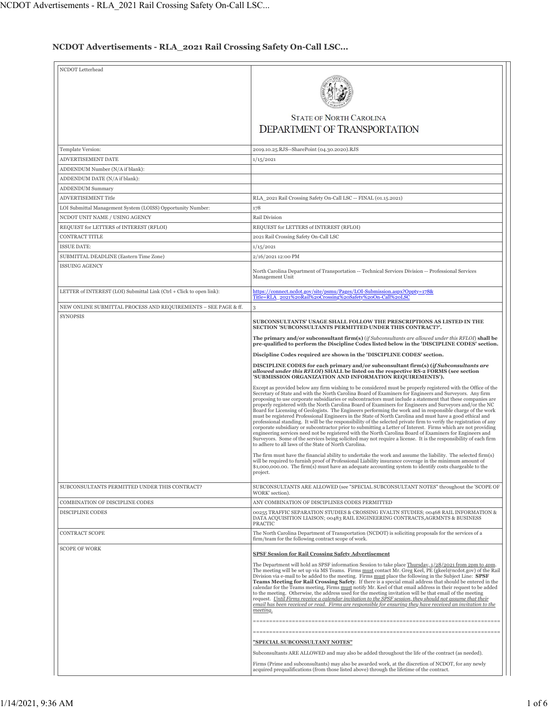## **NCDOT Advertisements - RLA\_2021 Rail Crossing Safety On-Call LSC...**

| NCDOT Letterhead                                                     |                                                                                                                                                                                                                                                                                                                                                                                                                                                                                                                                                                                                                                                                                                                                                                                                                                                                                                                                                                                                                                                                                                                                                                                                                 |
|----------------------------------------------------------------------|-----------------------------------------------------------------------------------------------------------------------------------------------------------------------------------------------------------------------------------------------------------------------------------------------------------------------------------------------------------------------------------------------------------------------------------------------------------------------------------------------------------------------------------------------------------------------------------------------------------------------------------------------------------------------------------------------------------------------------------------------------------------------------------------------------------------------------------------------------------------------------------------------------------------------------------------------------------------------------------------------------------------------------------------------------------------------------------------------------------------------------------------------------------------------------------------------------------------|
|                                                                      |                                                                                                                                                                                                                                                                                                                                                                                                                                                                                                                                                                                                                                                                                                                                                                                                                                                                                                                                                                                                                                                                                                                                                                                                                 |
|                                                                      | <b>STATE OF NORTH CAROLINA</b><br><b>DEPARTMENT OF TRANSPORTATION</b>                                                                                                                                                                                                                                                                                                                                                                                                                                                                                                                                                                                                                                                                                                                                                                                                                                                                                                                                                                                                                                                                                                                                           |
| Template Version:                                                    | 2019.10.25.RJS--SharePoint (04.30.2020).RJS                                                                                                                                                                                                                                                                                                                                                                                                                                                                                                                                                                                                                                                                                                                                                                                                                                                                                                                                                                                                                                                                                                                                                                     |
| ADVERTISEMENT DATE                                                   | 1/15/2021                                                                                                                                                                                                                                                                                                                                                                                                                                                                                                                                                                                                                                                                                                                                                                                                                                                                                                                                                                                                                                                                                                                                                                                                       |
| ADDENDUM Number (N/A if blank):                                      |                                                                                                                                                                                                                                                                                                                                                                                                                                                                                                                                                                                                                                                                                                                                                                                                                                                                                                                                                                                                                                                                                                                                                                                                                 |
| ADDENDUM DATE (N/A if blank):                                        |                                                                                                                                                                                                                                                                                                                                                                                                                                                                                                                                                                                                                                                                                                                                                                                                                                                                                                                                                                                                                                                                                                                                                                                                                 |
| <b>ADDENDUM Summary</b>                                              |                                                                                                                                                                                                                                                                                                                                                                                                                                                                                                                                                                                                                                                                                                                                                                                                                                                                                                                                                                                                                                                                                                                                                                                                                 |
| ADVERTISEMENT Title                                                  | RLA_2021 Rail Crossing Safety On-Call LSC -- FINAL (01.15.2021)                                                                                                                                                                                                                                                                                                                                                                                                                                                                                                                                                                                                                                                                                                                                                                                                                                                                                                                                                                                                                                                                                                                                                 |
| LOI Submittal Management System (LOISS) Opportunity Number:          | 178                                                                                                                                                                                                                                                                                                                                                                                                                                                                                                                                                                                                                                                                                                                                                                                                                                                                                                                                                                                                                                                                                                                                                                                                             |
| NCDOT UNIT NAME / USING AGENCY                                       | Rail Division                                                                                                                                                                                                                                                                                                                                                                                                                                                                                                                                                                                                                                                                                                                                                                                                                                                                                                                                                                                                                                                                                                                                                                                                   |
| REQUEST for LETTERS of INTEREST (RFLOI)                              | REQUEST for LETTERS of INTEREST (RFLOI)                                                                                                                                                                                                                                                                                                                                                                                                                                                                                                                                                                                                                                                                                                                                                                                                                                                                                                                                                                                                                                                                                                                                                                         |
| CONTRACT TITLE                                                       | 2021 Rail Crossing Safety On-Call LSC                                                                                                                                                                                                                                                                                                                                                                                                                                                                                                                                                                                                                                                                                                                                                                                                                                                                                                                                                                                                                                                                                                                                                                           |
| <b>ISSUE DATE:</b>                                                   | 1/15/2021                                                                                                                                                                                                                                                                                                                                                                                                                                                                                                                                                                                                                                                                                                                                                                                                                                                                                                                                                                                                                                                                                                                                                                                                       |
| SUBMITTAL DEADLINE (Eastern Time Zone)<br><b>ISSUING AGENCY</b>      | 2/16/2021 12:00 PM                                                                                                                                                                                                                                                                                                                                                                                                                                                                                                                                                                                                                                                                                                                                                                                                                                                                                                                                                                                                                                                                                                                                                                                              |
|                                                                      | North Carolina Department of Transportation -- Technical Services Division -- Professional Services<br>Management Unit                                                                                                                                                                                                                                                                                                                                                                                                                                                                                                                                                                                                                                                                                                                                                                                                                                                                                                                                                                                                                                                                                          |
| LETTER of INTEREST (LOI) Submittal Link (Ctrl + Click to open link): | https://connect.ncdot.gov/site/psmu/Pages/LOI-Submission.aspx?Oppty=178&<br>Title=RLA 2021%20Rail%20Crossing%20Safety%20On-Call%20LSC                                                                                                                                                                                                                                                                                                                                                                                                                                                                                                                                                                                                                                                                                                                                                                                                                                                                                                                                                                                                                                                                           |
| NEW ONLINE SUBMITTAL PROCESS AND REQUIREMENTS - SEE PAGE & ff.       | 3                                                                                                                                                                                                                                                                                                                                                                                                                                                                                                                                                                                                                                                                                                                                                                                                                                                                                                                                                                                                                                                                                                                                                                                                               |
| <b>SYNOPSIS</b>                                                      | SUBCONSULTANTS' USAGE SHALL FOLLOW THE PRESCRIPTIONS AS LISTED IN THE<br>SECTION 'SUBCONSULTANTS PERMITTED UNDER THIS CONTRACT?'.                                                                                                                                                                                                                                                                                                                                                                                                                                                                                                                                                                                                                                                                                                                                                                                                                                                                                                                                                                                                                                                                               |
|                                                                      | The primary and/or subconsultant firm(s) (if Subconsultants are allowed under this RFLOI) shall be<br>pre-qualified to perform the Discipline Codes listed below in the 'DISCIPLINE CODES' section.                                                                                                                                                                                                                                                                                                                                                                                                                                                                                                                                                                                                                                                                                                                                                                                                                                                                                                                                                                                                             |
|                                                                      | Discipline Codes required are shown in the 'DISCIPLINE CODES' section.                                                                                                                                                                                                                                                                                                                                                                                                                                                                                                                                                                                                                                                                                                                                                                                                                                                                                                                                                                                                                                                                                                                                          |
|                                                                      | DISCIPLINE CODES for each primary and/or subconsultant firm(s) (if Subconsultants are<br>allowed under this RFLOI) SHALL be listed on the respective RS-2 FORMS (see section<br>'SUBMISSION ORGANIZATION AND INFORMATION REQUIREMENTS').                                                                                                                                                                                                                                                                                                                                                                                                                                                                                                                                                                                                                                                                                                                                                                                                                                                                                                                                                                        |
|                                                                      | Except as provided below any firm wishing to be considered must be properly registered with the Office of the<br>Secretary of State and with the North Carolina Board of Examiners for Engineers and Surveyors. Any firm<br>proposing to use corporate subsidiaries or subcontractors must include a statement that these companies are<br>properly registered with the North Carolina Board of Examiners for Engineers and Surveyors and/or the NC<br>Board for Licensing of Geologists. The Engineers performing the work and in responsible charge of the work<br>must be registered Professional Engineers in the State of North Carolina and must have a good ethical and<br>professional standing. It will be the responsibility of the selected private firm to verify the registration of any<br>corporate subsidiary or subcontractor prior to submitting a Letter of Interest. Firms which are not providing<br>engineering services need not be registered with the North Carolina Board of Examiners for Engineers and<br>Surveyors. Some of the services being solicited may not require a license. It is the responsibility of each firm<br>to adhere to all laws of the State of North Carolina. |
|                                                                      | The firm must have the financial ability to undertake the work and assume the liability. The selected firm(s)<br>will be required to furnish proof of Professional Liability insurance coverage in the minimum amount of<br>\$1,000,000.00. The firm(s) must have an adequate accounting system to identify costs chargeable to the<br>project.                                                                                                                                                                                                                                                                                                                                                                                                                                                                                                                                                                                                                                                                                                                                                                                                                                                                 |
| SUBCONSULTANTS PERMITTED UNDER THIS CONTRACT?                        | SUBCONSULTANTS ARE ALLOWED (see "SPECIAL SUBCONSULTANT NOTES" throughout the 'SCOPE OF<br>WORK' section).                                                                                                                                                                                                                                                                                                                                                                                                                                                                                                                                                                                                                                                                                                                                                                                                                                                                                                                                                                                                                                                                                                       |
| COMBINATION OF DISCIPLINE CODES                                      | ANY COMBINATION OF DISCIPLINES CODES PERMITTED                                                                                                                                                                                                                                                                                                                                                                                                                                                                                                                                                                                                                                                                                                                                                                                                                                                                                                                                                                                                                                                                                                                                                                  |
| DISCIPLINE CODES                                                     | 00255 TRAFFIC SEPARATION STUDIES & CROSSING EVALTN STUDIES; 00468 RAIL INFORMATION &<br>DATA ACQUISITION LIAISON; 00483 RAIL ENGINEERING CONTRACTS, AGRMNTS & BUSINESS<br>PRACTIC                                                                                                                                                                                                                                                                                                                                                                                                                                                                                                                                                                                                                                                                                                                                                                                                                                                                                                                                                                                                                               |
| CONTRACT SCOPE                                                       | The North Carolina Department of Transportation (NCDOT) is soliciting proposals for the services of a<br>firm/team for the following contract scope of work.                                                                                                                                                                                                                                                                                                                                                                                                                                                                                                                                                                                                                                                                                                                                                                                                                                                                                                                                                                                                                                                    |
| <b>SCOPE OF WORK</b>                                                 | <b>SPSF Session for Rail Crossing Safety Advertisement</b>                                                                                                                                                                                                                                                                                                                                                                                                                                                                                                                                                                                                                                                                                                                                                                                                                                                                                                                                                                                                                                                                                                                                                      |
|                                                                      | The Department will hold an SPSF information Session to take place $\frac{\text{Thursday, }1/28/2021}{\text{from 2pm to 4pm}}$ .<br>The meeting will be set up via MS Teams. Firms must contact Mr. Greg Keel, PE (gkeel@ncdot.gov) of the Rail<br>Division via e-mail to be added to the meeting. Firms must place the following in the Subject Line: SPSF<br>Teams Meeting for Rail Crossing Safety. If there is a special email address that should be entered in the<br>calendar for the Teams meeting, Firms must notify Mr. Keel of that email address in their request to be added<br>to the meeting. Otherwise, the address used for the meeting invitation will be that email of the meeting<br>request. Until Firms receive a calendar invitation to the SPSF session, they should not assume that their<br>email has been received or read. Firms are responsible for ensuring they have received an invitation to the<br>meeting.                                                                                                                                                                                                                                                                   |
|                                                                      |                                                                                                                                                                                                                                                                                                                                                                                                                                                                                                                                                                                                                                                                                                                                                                                                                                                                                                                                                                                                                                                                                                                                                                                                                 |
|                                                                      |                                                                                                                                                                                                                                                                                                                                                                                                                                                                                                                                                                                                                                                                                                                                                                                                                                                                                                                                                                                                                                                                                                                                                                                                                 |
|                                                                      | "SPECIAL SUBCONSULTANT NOTES"                                                                                                                                                                                                                                                                                                                                                                                                                                                                                                                                                                                                                                                                                                                                                                                                                                                                                                                                                                                                                                                                                                                                                                                   |
|                                                                      | Subconsultants ARE ALLOWED and may also be added throughout the life of the contract (as needed).                                                                                                                                                                                                                                                                                                                                                                                                                                                                                                                                                                                                                                                                                                                                                                                                                                                                                                                                                                                                                                                                                                               |
|                                                                      | Firms (Prime and subconsultants) may also be awarded work, at the discretion of NCDOT, for any newly<br>acquired prequalifications (from those listed above) through the lifetime of the contract.                                                                                                                                                                                                                                                                                                                                                                                                                                                                                                                                                                                                                                                                                                                                                                                                                                                                                                                                                                                                              |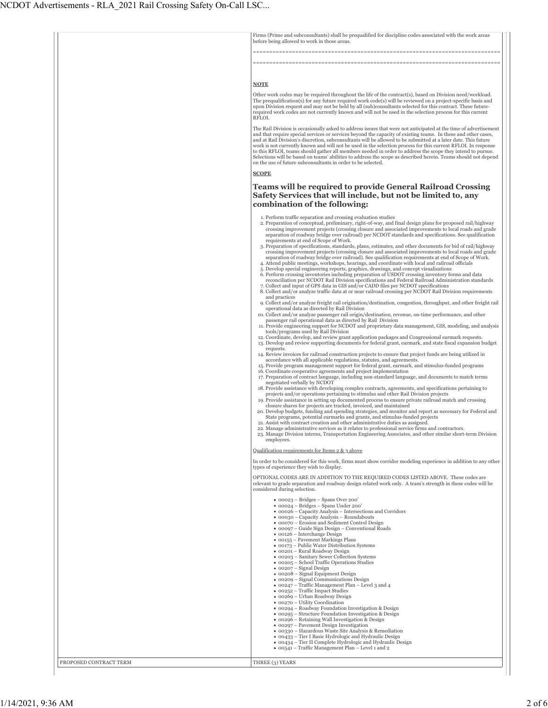|                        | Firms (Prime and subconsultants) shall be prequalified for discipline codes associated with the work areas<br>before being allowed to work in those areas.                                                                                                                                                                                                                                                                                                                                                                                                                                                                                                                                                                                                                                                                                                                                                                                                                                                                                                                                                                                                                                                                                                                                                                                                                                                                                                                                                                                                                                                                                                                                                                                                                                                                                                                                                                                                                                                                                                                                                                                                                                                                                                                                                                                                                                                                                                                                                                                                                                                                                                                                                                                                                                                                                                                                                                                                                                                                                                                                                                                                                                                                                                                                                                                                                                                                                                                                                                 |
|------------------------|----------------------------------------------------------------------------------------------------------------------------------------------------------------------------------------------------------------------------------------------------------------------------------------------------------------------------------------------------------------------------------------------------------------------------------------------------------------------------------------------------------------------------------------------------------------------------------------------------------------------------------------------------------------------------------------------------------------------------------------------------------------------------------------------------------------------------------------------------------------------------------------------------------------------------------------------------------------------------------------------------------------------------------------------------------------------------------------------------------------------------------------------------------------------------------------------------------------------------------------------------------------------------------------------------------------------------------------------------------------------------------------------------------------------------------------------------------------------------------------------------------------------------------------------------------------------------------------------------------------------------------------------------------------------------------------------------------------------------------------------------------------------------------------------------------------------------------------------------------------------------------------------------------------------------------------------------------------------------------------------------------------------------------------------------------------------------------------------------------------------------------------------------------------------------------------------------------------------------------------------------------------------------------------------------------------------------------------------------------------------------------------------------------------------------------------------------------------------------------------------------------------------------------------------------------------------------------------------------------------------------------------------------------------------------------------------------------------------------------------------------------------------------------------------------------------------------------------------------------------------------------------------------------------------------------------------------------------------------------------------------------------------------------------------------------------------------------------------------------------------------------------------------------------------------------------------------------------------------------------------------------------------------------------------------------------------------------------------------------------------------------------------------------------------------------------------------------------------------------------------------------------------------|
|                        |                                                                                                                                                                                                                                                                                                                                                                                                                                                                                                                                                                                                                                                                                                                                                                                                                                                                                                                                                                                                                                                                                                                                                                                                                                                                                                                                                                                                                                                                                                                                                                                                                                                                                                                                                                                                                                                                                                                                                                                                                                                                                                                                                                                                                                                                                                                                                                                                                                                                                                                                                                                                                                                                                                                                                                                                                                                                                                                                                                                                                                                                                                                                                                                                                                                                                                                                                                                                                                                                                                                            |
|                        | <b>NOTE</b>                                                                                                                                                                                                                                                                                                                                                                                                                                                                                                                                                                                                                                                                                                                                                                                                                                                                                                                                                                                                                                                                                                                                                                                                                                                                                                                                                                                                                                                                                                                                                                                                                                                                                                                                                                                                                                                                                                                                                                                                                                                                                                                                                                                                                                                                                                                                                                                                                                                                                                                                                                                                                                                                                                                                                                                                                                                                                                                                                                                                                                                                                                                                                                                                                                                                                                                                                                                                                                                                                                                |
|                        | Other work codes may be required throughout the life of the contract(s), based on Division need/workload.<br>The prequalification(s) for any future required work code(s) will be reviewed on a project-specific basis and<br>upon Division request and may not be held by all (sub)consultants selected for this contract. These future-<br>required work codes are not currently known and will not be used in the selection process for this current<br>RFLOI.<br>The Rail Division is occasionally asked to address issues that were not anticipated at the time of advertisement                                                                                                                                                                                                                                                                                                                                                                                                                                                                                                                                                                                                                                                                                                                                                                                                                                                                                                                                                                                                                                                                                                                                                                                                                                                                                                                                                                                                                                                                                                                                                                                                                                                                                                                                                                                                                                                                                                                                                                                                                                                                                                                                                                                                                                                                                                                                                                                                                                                                                                                                                                                                                                                                                                                                                                                                                                                                                                                                      |
|                        | and that require special services or services beyond the capacity of existing teams. In these and other cases,<br>and at Rail Division's discretion, subconsultants will be allowed to be submitted at a later date. This future<br>work is not currently known and will not be used in the selection process for this current RFLOI. In response<br>to this RFLOI, teams should gather all members needed in order to address the scope they intend to pursue.<br>Selections will be based on teams' abilities to address the scope as described herein. Teams should not depend<br>on the use of future subconsultants in order to be selected.                                                                                                                                                                                                                                                                                                                                                                                                                                                                                                                                                                                                                                                                                                                                                                                                                                                                                                                                                                                                                                                                                                                                                                                                                                                                                                                                                                                                                                                                                                                                                                                                                                                                                                                                                                                                                                                                                                                                                                                                                                                                                                                                                                                                                                                                                                                                                                                                                                                                                                                                                                                                                                                                                                                                                                                                                                                                          |
|                        | <b>SCOPE</b>                                                                                                                                                                                                                                                                                                                                                                                                                                                                                                                                                                                                                                                                                                                                                                                                                                                                                                                                                                                                                                                                                                                                                                                                                                                                                                                                                                                                                                                                                                                                                                                                                                                                                                                                                                                                                                                                                                                                                                                                                                                                                                                                                                                                                                                                                                                                                                                                                                                                                                                                                                                                                                                                                                                                                                                                                                                                                                                                                                                                                                                                                                                                                                                                                                                                                                                                                                                                                                                                                                               |
|                        | <b>Teams will be required to provide General Railroad Crossing</b><br>Safety Services that will include, but not be limited to, any<br>combination of the following:                                                                                                                                                                                                                                                                                                                                                                                                                                                                                                                                                                                                                                                                                                                                                                                                                                                                                                                                                                                                                                                                                                                                                                                                                                                                                                                                                                                                                                                                                                                                                                                                                                                                                                                                                                                                                                                                                                                                                                                                                                                                                                                                                                                                                                                                                                                                                                                                                                                                                                                                                                                                                                                                                                                                                                                                                                                                                                                                                                                                                                                                                                                                                                                                                                                                                                                                                       |
|                        | 1. Perform traffic separation and crossing evaluation studies<br>2. Preparation of conceptual, preliminary, right-of-way, and final design plans for proposed rail/highway<br>crossing improvement projects (crossing closure and associated improvements to local roads and grade<br>separation of roadway bridge over railroad) per NCDOT standards and specifications. See qualification<br>requirements at end of Scope of Work.<br>3. Preparation of specifications, standards, plans, estimates, and other documents for bid of rail/highway<br>crossing improvement projects (crossing closure and associated improvements to local roads and grade<br>separation of roadway bridge over railroad). See qualification requirements at end of Scope of Work.<br>4. Attend public meetings, workshops, hearings, and coordinate with local and railroad officials<br>5. Develop special engineering reports, graphics, drawings, and concept visualizations<br>6. Perform crossing inventories including preparation of USDOT crossing inventory forms and data<br>reconciliation per NCDOT Rail Division specifications and Federal Railroad Administration standards<br>7. Collect and input of GPS data in GIS and/or CADD files per NCDOT specifications<br>8. Collect and/or analyze traffic data at or near railroad crossing per NCDOT Rail Division requirements<br>and practices<br>9. Collect and/or analyze freight rail origination/destination, congestion, throughput, and other freight rail<br>operational data as directed by Rail Division<br>10. Collect and/or analyze passenger rail origin/destination, revenue, on-time performance, and other<br>passenger rail operational data as directed by Rail Division<br>11. Provide engineering support for NCDOT and proprietary data management, GIS, modeling, and analysis<br>tools/programs used by Rail Division<br>12. Coordinate, develop, and review grant application packages and Congressional earmark requests.<br>13. Develop and review supporting documents for federal grant, earmark, and state fiscal expansion budget<br>requests.<br>14. Review invoices for railroad construction projects to ensure that project funds are being utilized in<br>accordance with all applicable regulations, statutes, and agreements.<br>15. Provide program management support for federal grant, earmark, and stimulus-funded programs<br>16. Coordinate cooperative agreements and project implementation<br>17. Preparation of contract language, including non-standard language, and documents to match terms<br>negotiated verbally by NCDOT<br>18. Provide assistance with developing complex contracts, agreements, and specifications pertaining to<br>projects and/or operations pertaining to stimulus and other Rail Division projects<br>19. Provide assistance in setting up documented process to ensure private railroad match and crossing<br>closure shares for projects are tracked, invoiced, and maintained<br>20. Develop budgets, funding and spending strategies, and monitor and report as necessary for Federal and<br>State programs, potential earmarks and grants, and stimulus-funded projects<br>21. Assist with contract creation and other administrative duties as assigned.<br>22. Manage administrative services as it relates to professional service firms and contractors.<br>23. Manage Division interns, Transportation Engineering Associates, and other similar short-term Division<br>employees. |
|                        | Qualification requirements for Items 2 & 3 above                                                                                                                                                                                                                                                                                                                                                                                                                                                                                                                                                                                                                                                                                                                                                                                                                                                                                                                                                                                                                                                                                                                                                                                                                                                                                                                                                                                                                                                                                                                                                                                                                                                                                                                                                                                                                                                                                                                                                                                                                                                                                                                                                                                                                                                                                                                                                                                                                                                                                                                                                                                                                                                                                                                                                                                                                                                                                                                                                                                                                                                                                                                                                                                                                                                                                                                                                                                                                                                                           |
|                        | In order to be considered for this work, firms must show corridor modeling experience in addition to any other<br>types of experience they wish to display.                                                                                                                                                                                                                                                                                                                                                                                                                                                                                                                                                                                                                                                                                                                                                                                                                                                                                                                                                                                                                                                                                                                                                                                                                                                                                                                                                                                                                                                                                                                                                                                                                                                                                                                                                                                                                                                                                                                                                                                                                                                                                                                                                                                                                                                                                                                                                                                                                                                                                                                                                                                                                                                                                                                                                                                                                                                                                                                                                                                                                                                                                                                                                                                                                                                                                                                                                                |
|                        | OPTIONAL CODES ARE IN ADDITION TO THE REQUIRED CODES LISTED ABOVE. These codes are<br>relevant to grade separation and roadway design related work only. A team's strength in these codes will be<br>considered during selection.                                                                                                                                                                                                                                                                                                                                                                                                                                                                                                                                                                                                                                                                                                                                                                                                                                                                                                                                                                                                                                                                                                                                                                                                                                                                                                                                                                                                                                                                                                                                                                                                                                                                                                                                                                                                                                                                                                                                                                                                                                                                                                                                                                                                                                                                                                                                                                                                                                                                                                                                                                                                                                                                                                                                                                                                                                                                                                                                                                                                                                                                                                                                                                                                                                                                                          |
|                        | $\bullet$ 00023 – Bridges – Spans Over 200'<br>• 00024 - Bridges - Spans Under 200'<br>• 00026 - Capacity Analysis - Intersections and Corridors<br>• 00030 - Capacity Analysis - Roundabouts<br>• 00070 - Erosion and Sediment Control Design<br>• 00097 – Guide Sign Design – Conventional Roads<br>$\bullet$ 00126 - Interchange Design<br>• 00155 - Pavement Markings Plans<br>• 00173 - Public Water Distribution Systems<br>• 00201 - Rural Roadway Design<br>• 00203 - Sanitary Sewer Collection Systems<br>• 00205 - School Traffic Operations Studies<br>$\bullet$ 00207 – Signal Design<br>$\bullet$ 00208 – Signal Equipment Design<br>• 00209 - Signal Communications Design<br>• 00247 – Traffic Management Plan – Level 3 and 4<br>• 00252 - Traffic Impact Studies<br>• 00269 - Urban Roadway Design<br>• 00270 - Utility Coordination<br>• 00294 - Roadway Foundation Investigation & Design<br>• 00295 – Structure Foundation Investigation & Design<br>• 00296 – Retaining Wall Investigation & Design<br>• 00297 - Pavement Design Investigation<br>• 00330 - Hazardous Waste Site Analysis & Remediation<br>• 00433 - Tier I Basic Hydrologic and Hydraulic Design<br>• 00434 - Tier II Complete Hydrologic and Hydraulic Design<br>• 00541 - Traffic Management Plan - Level 1 and 2                                                                                                                                                                                                                                                                                                                                                                                                                                                                                                                                                                                                                                                                                                                                                                                                                                                                                                                                                                                                                                                                                                                                                                                                                                                                                                                                                                                                                                                                                                                                                                                                                                                                                                                                                                                                                                                                                                                                                                                                                                                                                                                                                                                                                  |
| PROPOSED CONTRACT TERM | THREE (3) YEARS                                                                                                                                                                                                                                                                                                                                                                                                                                                                                                                                                                                                                                                                                                                                                                                                                                                                                                                                                                                                                                                                                                                                                                                                                                                                                                                                                                                                                                                                                                                                                                                                                                                                                                                                                                                                                                                                                                                                                                                                                                                                                                                                                                                                                                                                                                                                                                                                                                                                                                                                                                                                                                                                                                                                                                                                                                                                                                                                                                                                                                                                                                                                                                                                                                                                                                                                                                                                                                                                                                            |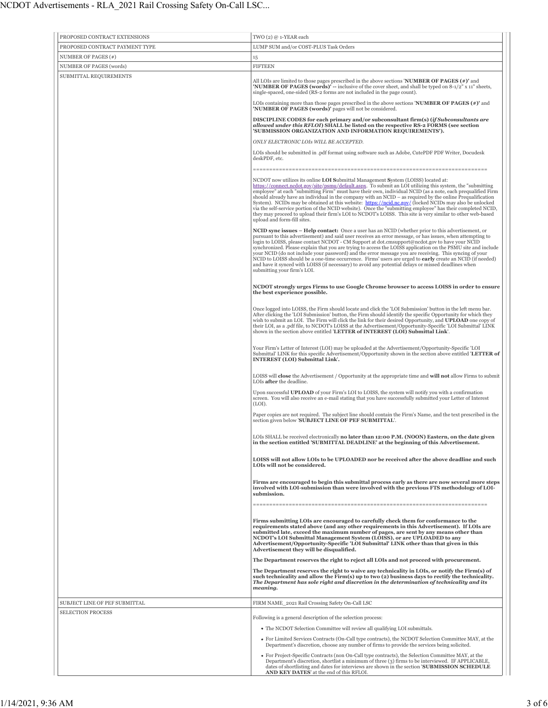| PROPOSED CONTRACT EXTENSIONS   | TWO (2) @ 1-YEAR each                                                                                                                                                                                                                                                                                                                                                                                                                                                                                                                                                                                                                                                                                                                                                                                       |
|--------------------------------|-------------------------------------------------------------------------------------------------------------------------------------------------------------------------------------------------------------------------------------------------------------------------------------------------------------------------------------------------------------------------------------------------------------------------------------------------------------------------------------------------------------------------------------------------------------------------------------------------------------------------------------------------------------------------------------------------------------------------------------------------------------------------------------------------------------|
| PROPOSED CONTRACT PAYMENT TYPE | LUMP SUM and/or COST-PLUS Task Orders                                                                                                                                                                                                                                                                                                                                                                                                                                                                                                                                                                                                                                                                                                                                                                       |
| NUMBER OF PAGES (#)            | 15                                                                                                                                                                                                                                                                                                                                                                                                                                                                                                                                                                                                                                                                                                                                                                                                          |
| NUMBER OF PAGES (words)        | <b>FIFTEEN</b>                                                                                                                                                                                                                                                                                                                                                                                                                                                                                                                                                                                                                                                                                                                                                                                              |
| SUBMITTAL REQUIREMENTS         | All LOIs are limited to those pages prescribed in the above sections <b>NUMBER OF PAGES</b> $(*)$ and<br><b>'NUMBER OF PAGES (words)'</b> -- inclusive of the cover sheet, and shall be typed on 8-1/2" x 11" sheets,<br>single-spaced, one-sided (RS-2 forms are not included in the page count).                                                                                                                                                                                                                                                                                                                                                                                                                                                                                                          |
|                                | LOIs containing more than those pages prescribed in the above sections 'NUMBER OF PAGES $(*)$ ' and<br>'NUMBER OF PAGES (words)' pages will not be considered.                                                                                                                                                                                                                                                                                                                                                                                                                                                                                                                                                                                                                                              |
|                                | DISCIPLINE CODES for each primary and/or subconsultant firm(s) (if Subconsultants are<br>allowed under this RFLOI) SHALL be listed on the respective RS-2 FORMS (see section<br>'SUBMISSION ORGANIZATION AND INFORMATION REQUIREMENTS').                                                                                                                                                                                                                                                                                                                                                                                                                                                                                                                                                                    |
|                                | ONLY ELECTRONIC LOIS WILL BE ACCEPTED.                                                                                                                                                                                                                                                                                                                                                                                                                                                                                                                                                                                                                                                                                                                                                                      |
|                                | LOIs should be submitted in .pdf format using software such as Adobe, CutePDF PDF Writer, Docudesk<br>deskPDF, etc.                                                                                                                                                                                                                                                                                                                                                                                                                                                                                                                                                                                                                                                                                         |
|                                | NCDOT now utilizes its online <b>LOI Submittal Management System (LOISS)</b> located at:<br>https://connect.ncdot.gov/site/psmu/default.aspx. To submit an LOI utilizing this system, the "submitting<br>employee" at each "submitting Firm" must have their own, individual NCID (as a note, each prequalified Firm<br>should already have an individual in the company with an $NCID -$ as required by the online Prequalification<br>System). NCIDs may be obtained at this website: https://ncid.nc.gov/ (locked NCIDs may also be unlocked<br>via the self-service portion of the NCID website). Once the "submitting employee" has their completed NCID,<br>they may proceed to upload their firm's LOI to NCDOT's LOISS. This site is very similar to other web-based<br>upload and form-fill sites. |
|                                | NCID sync issues - Help contact: Once a user has an NCID (whether prior to this advertisement, or<br>pursuant to this advertisement) and said user receives an error message, or has issues, when attempting to<br>login to LOISS, please contact NCDOT - CM Support at dot.cmsupport@ncdot.gov to have your NCID<br>synchronized. Please explain that you are trying to access the LOISS application on the PSMU site and include<br>your NCID (do not include your password) and the error message you are receiving. This syncing of your<br>NCID to LOISS should be a one-time occurrence. Firms' users are urged to early create an NCID (if needed)<br>and have it synced with LOISS (if necessary) to avoid any potential delays or missed deadlines when<br>submitting your firm's LOI.             |
|                                | NCDOT strongly urges Firms to use Google Chrome browser to access LOISS in order to ensure<br>the best experience possible.                                                                                                                                                                                                                                                                                                                                                                                                                                                                                                                                                                                                                                                                                 |
|                                | Once logged into LOISS, the Firm should locate and click the 'LOI Submission' button in the left menu bar.<br>After clicking the 'LOI Submission' button, the Firm should identify the specific Opportunity for which they<br>wish to submit an LOI. The Firm will click the link for their desired Opportunity, and UPLOAD one copy of<br>their LOI, as a .pdf file, to NCDOT's LOISS at the Advertisement/Opportunity-Specific 'LOI Submittal' LINK<br>shown in the section above entitled 'LETTER of INTEREST (LOI) Submittal Link'.                                                                                                                                                                                                                                                                     |
|                                | Your Firm's Letter of Interest (LOI) may be uploaded at the Advertisement/Opportunity-Specific 'LOI<br>Submittal' LINK for this specific Advertisement/Opportunity shown in the section above entitled 'LETTER of<br><b>INTEREST (LOI) Submittal Link'.</b>                                                                                                                                                                                                                                                                                                                                                                                                                                                                                                                                                 |
|                                | LOISS will close the Advertisement / Opportunity at the appropriate time and will not allow Firms to submit<br>LOIs after the deadline.                                                                                                                                                                                                                                                                                                                                                                                                                                                                                                                                                                                                                                                                     |
|                                | Upon successful UPLOAD of your Firm's LOI to LOISS, the system will notify you with a confirmation<br>screen. You will also receive an e-mail stating that you have successfully submitted your Letter of Interest<br>(LOI).                                                                                                                                                                                                                                                                                                                                                                                                                                                                                                                                                                                |
|                                | Paper copies are not required. The subject line should contain the Firm's Name, and the text prescribed in the<br>section given below 'SUBJECT LINE OF PEF SUBMITTAL'.                                                                                                                                                                                                                                                                                                                                                                                                                                                                                                                                                                                                                                      |
|                                | LOIs SHALL be received electronically no later than 12:00 P.M. (NOON) Eastern, on the date given<br>in the section entitled 'SUBMITTAL DEADLINE' at the beginning of this Advertisement.                                                                                                                                                                                                                                                                                                                                                                                                                                                                                                                                                                                                                    |
|                                | LOISS will not allow LOIs to be UPLOADED nor be received after the above deadline and such<br>LOIs will not be considered.                                                                                                                                                                                                                                                                                                                                                                                                                                                                                                                                                                                                                                                                                  |
|                                | Firms are encouraged to begin this submittal process early as there are now several more steps<br>involved with LOI-submission than were involved with the previous FTS methodology of LOI-<br>submission.<br>=========                                                                                                                                                                                                                                                                                                                                                                                                                                                                                                                                                                                     |
|                                | Firms submitting LOIs are encouraged to carefully check them for conformance to the<br>requirements stated above (and any other requirements in this Advertisement). If LOIs are<br>submitted late, exceed the maximum number of pages, are sent by any means other than<br>NCDOT's LOI Submittal Management System (LOISS), or are UPLOADED to any<br>Advertisement/Opportunity-Specific 'LOI Submittal' LINK other than that given in this<br>Advertisement they will be disqualified.                                                                                                                                                                                                                                                                                                                    |
|                                | The Department reserves the right to reject all LOIs and not proceed with procurement.                                                                                                                                                                                                                                                                                                                                                                                                                                                                                                                                                                                                                                                                                                                      |
|                                | The Department reserves the right to waive any technicality in LOIs, or notify the Firm(s) of<br>such technicality and allow the Firm(s) up to two (2) business days to rectify the technicality.<br>The Department has sole right and discretion in the determination of technicality and its<br>meaning.                                                                                                                                                                                                                                                                                                                                                                                                                                                                                                  |
| SUBJECT LINE OF PEF SUBMITTAL  | FIRM NAME_2021 Rail Crossing Safety On-Call LSC                                                                                                                                                                                                                                                                                                                                                                                                                                                                                                                                                                                                                                                                                                                                                             |
| <b>SELECTION PROCESS</b>       | Following is a general description of the selection process:                                                                                                                                                                                                                                                                                                                                                                                                                                                                                                                                                                                                                                                                                                                                                |
|                                | • The NCDOT Selection Committee will review all qualifying LOI submittals.                                                                                                                                                                                                                                                                                                                                                                                                                                                                                                                                                                                                                                                                                                                                  |
|                                | • For Limited Services Contracts (On-Call type contracts), the NCDOT Selection Committee MAY, at the<br>Department's discretion, choose any number of firms to provide the services being solicited.                                                                                                                                                                                                                                                                                                                                                                                                                                                                                                                                                                                                        |
|                                | • For Project-Specific Contracts (non On-Call type contracts), the Selection Committee MAY, at the<br>Department's discretion, shortlist a minimum of three (3) firms to be interviewed. IF APPLICABLE,<br>dates of shortlisting and dates for interviews are shown in the section 'SUBMISSION SCHEDULE<br>AND KEY DATES' at the end of this RFLOI.                                                                                                                                                                                                                                                                                                                                                                                                                                                         |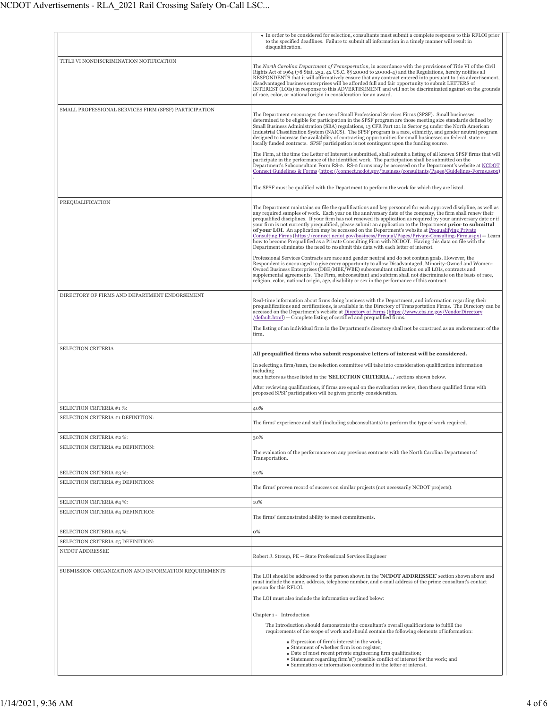|                                                               | • In order to be considered for selection, consultants must submit a complete response to this RFLOI prior<br>to the specified deadlines. Failure to submit all information in a timely manner will result in<br>disqualification.                                                                                                                                                                                                                                                                                                                                                                                                                                                                                                                                                                                                                                                                                                                                                                                                                                                            |
|---------------------------------------------------------------|-----------------------------------------------------------------------------------------------------------------------------------------------------------------------------------------------------------------------------------------------------------------------------------------------------------------------------------------------------------------------------------------------------------------------------------------------------------------------------------------------------------------------------------------------------------------------------------------------------------------------------------------------------------------------------------------------------------------------------------------------------------------------------------------------------------------------------------------------------------------------------------------------------------------------------------------------------------------------------------------------------------------------------------------------------------------------------------------------|
| TITLE VI NONDISCRIMINATION NOTIFICATION                       | The North Carolina Department of Transportation, in accordance with the provisions of Title VI of the Civil<br>Rights Act of 1964 (78 Stat. 252, 42 US.C. §§ 2000d to 2000d-4) and the Regulations, hereby notifies all<br>RESPONDENTS that it will affirmatively ensure that any contract entered into pursuant to this advertisement,<br>disadvantaged business enterprises will be afforded full and fair opportunity to submit LETTERS of<br>INTEREST (LOIs) in response to this ADVERTISEMENT and will not be discriminated against on the grounds<br>of race, color, or national origin in consideration for an award.                                                                                                                                                                                                                                                                                                                                                                                                                                                                  |
| SMALL PROFESSIONAL SERVICES FIRM (SPSF) PARTICIPATION         | The Department encourages the use of Small Professional Services Firms (SPSF). Small businesses<br>determined to be eligible for participation in the SPSF program are those meeting size standards defined by<br>Small Business Administration (SBA) regulations, 13 CFR Part 121 in Sector 54 under the North American<br>Industrial Classification System (NAICS). The SPSF program is a race, ethnicity, and gender neutral program<br>designed to increase the availability of contracting opportunities for small businesses on federal, state or<br>locally funded contracts. SPSF participation is not contingent upon the funding source.<br>The Firm, at the time the Letter of Interest is submitted, shall submit a listing of all known SPSF firms that will<br>participate in the performance of the identified work. The participation shall be submitted on the<br>Department's Subconsultant Form RS-2. RS-2 forms may be accessed on the Department's website at NCDOT                                                                                                      |
|                                                               | Connect Guidelines & Forms (https://connect.ncdot.gov/business/consultants/Pages/Guidelines-Forms.aspx)<br>The SPSF must be qualified with the Department to perform the work for which they are listed.                                                                                                                                                                                                                                                                                                                                                                                                                                                                                                                                                                                                                                                                                                                                                                                                                                                                                      |
| PREQUALIFICATION                                              | The Department maintains on file the qualifications and key personnel for each approved discipline, as well as<br>any required samples of work. Each year on the anniversary date of the company, the firm shall renew their<br>prequalified disciplines. If your firm has not renewed its application as required by your anniversary date or if<br>your firm is not currently prequalified, please submit an application to the Department prior to submittal<br>of your LOI. An application may be accessed on the Department's website at Prequalifying Private<br>Consulting Firms (https://connect.ncdot.gov/business/Prequal/Pages/Private-Consulting-Firm.aspx) -- Learn<br>how to become Prequalified as a Private Consulting Firm with NCDOT. Having this data on file with the<br>Department eliminates the need to resubmit this data with each letter of interest.<br>Professional Services Contracts are race and gender neutral and do not contain goals. However, the<br>Respondent is encouraged to give every opportunity to allow Disadvantaged, Minority-Owned and Women- |
|                                                               | Owned Business Enterprises (DBE/MBE/WBE) subconsultant utilization on all LOIs, contracts and<br>supplemental agreements. The Firm, subconsultant and subfirm shall not discriminate on the basis of race,<br>religion, color, national origin, age, disability or sex in the performance of this contract.                                                                                                                                                                                                                                                                                                                                                                                                                                                                                                                                                                                                                                                                                                                                                                                   |
| DIRECTORY OF FIRMS AND DEPARTMENT ENDORSEMENT                 | Real-time information about firms doing business with the Department, and information regarding their<br>prequalifications and certifications, is available in the Directory of Transportation Firms. The Directory can be<br>accessed on the Department's website at Directory of Firms (https://www.ebs.nc.gov/VendorDirectory<br>/default.html) -- Complete listing of certified and prequalified firms.                                                                                                                                                                                                                                                                                                                                                                                                                                                                                                                                                                                                                                                                                   |
|                                                               | The listing of an individual firm in the Department's directory shall not be construed as an endorsement of the<br>firm.                                                                                                                                                                                                                                                                                                                                                                                                                                                                                                                                                                                                                                                                                                                                                                                                                                                                                                                                                                      |
| SELECTION CRITERIA                                            | All prequalified firms who submit responsive letters of interest will be considered.<br>In selecting a firm/team, the selection committee will take into consideration qualification information                                                                                                                                                                                                                                                                                                                                                                                                                                                                                                                                                                                                                                                                                                                                                                                                                                                                                              |
|                                                               | including<br>such factors as those listed in the 'SELECTION CRITERIA' sections shown below.<br>After reviewing qualifications, if firms are equal on the evaluation review, then those qualified firms with                                                                                                                                                                                                                                                                                                                                                                                                                                                                                                                                                                                                                                                                                                                                                                                                                                                                                   |
|                                                               | proposed SPSF participation will be given priority consideration.                                                                                                                                                                                                                                                                                                                                                                                                                                                                                                                                                                                                                                                                                                                                                                                                                                                                                                                                                                                                                             |
| SELECTION CRITERIA #1 %:<br>SELECTION CRITERIA #1 DEFINITION: | 40%                                                                                                                                                                                                                                                                                                                                                                                                                                                                                                                                                                                                                                                                                                                                                                                                                                                                                                                                                                                                                                                                                           |
|                                                               | The firms' experience and staff (including subconsultants) to perform the type of work required.                                                                                                                                                                                                                                                                                                                                                                                                                                                                                                                                                                                                                                                                                                                                                                                                                                                                                                                                                                                              |
| SELECTION CRITERIA #2 %:<br>SELECTION CRITERIA #2 DEFINITION: | 30%                                                                                                                                                                                                                                                                                                                                                                                                                                                                                                                                                                                                                                                                                                                                                                                                                                                                                                                                                                                                                                                                                           |
|                                                               | The evaluation of the performance on any previous contracts with the North Carolina Department of<br>Transportation.                                                                                                                                                                                                                                                                                                                                                                                                                                                                                                                                                                                                                                                                                                                                                                                                                                                                                                                                                                          |
| SELECTION CRITERIA #3 %:                                      | 20%                                                                                                                                                                                                                                                                                                                                                                                                                                                                                                                                                                                                                                                                                                                                                                                                                                                                                                                                                                                                                                                                                           |
| SELECTION CRITERIA #3 DEFINITION:                             | The firms' proven record of success on similar projects (not necessarily NCDOT projects).                                                                                                                                                                                                                                                                                                                                                                                                                                                                                                                                                                                                                                                                                                                                                                                                                                                                                                                                                                                                     |
| SELECTION CRITERIA #4 %:<br>SELECTION CRITERIA #4 DEFINITION: | 10%                                                                                                                                                                                                                                                                                                                                                                                                                                                                                                                                                                                                                                                                                                                                                                                                                                                                                                                                                                                                                                                                                           |
|                                                               | The firms' demonstrated ability to meet commitments.                                                                                                                                                                                                                                                                                                                                                                                                                                                                                                                                                                                                                                                                                                                                                                                                                                                                                                                                                                                                                                          |
| SELECTION CRITERIA #5 %:                                      | 0%                                                                                                                                                                                                                                                                                                                                                                                                                                                                                                                                                                                                                                                                                                                                                                                                                                                                                                                                                                                                                                                                                            |
| SELECTION CRITERIA #5 DEFINITION:<br>NCDOT ADDRESSEE          |                                                                                                                                                                                                                                                                                                                                                                                                                                                                                                                                                                                                                                                                                                                                                                                                                                                                                                                                                                                                                                                                                               |
|                                                               | Robert J. Stroup, PE -- State Professional Services Engineer                                                                                                                                                                                                                                                                                                                                                                                                                                                                                                                                                                                                                                                                                                                                                                                                                                                                                                                                                                                                                                  |
| SUBMISSION ORGANIZATION AND INFORMATION REQUIREMENTS          | The LOI should be addressed to the person shown in the 'NCDOT ADDRESSEE' section shown above and<br>must include the name, address, telephone number, and e-mail address of the prime consultant's contact<br>person for this RFLOI.<br>The LOI must also include the information outlined below:                                                                                                                                                                                                                                                                                                                                                                                                                                                                                                                                                                                                                                                                                                                                                                                             |
|                                                               | Chapter 1 - Introduction                                                                                                                                                                                                                                                                                                                                                                                                                                                                                                                                                                                                                                                                                                                                                                                                                                                                                                                                                                                                                                                                      |
|                                                               | The Introduction should demonstrate the consultant's overall qualifications to fulfill the<br>requirements of the scope of work and should contain the following elements of information:                                                                                                                                                                                                                                                                                                                                                                                                                                                                                                                                                                                                                                                                                                                                                                                                                                                                                                     |
|                                                               | Expression of firm's interest in the work;<br>Statement of whether firm is on register;<br>• Date of most recent private engineering firm qualification;<br>■ Statement regarding firm's(') possible conflict of interest for the work; and<br>Summation of information contained in the letter of interest.                                                                                                                                                                                                                                                                                                                                                                                                                                                                                                                                                                                                                                                                                                                                                                                  |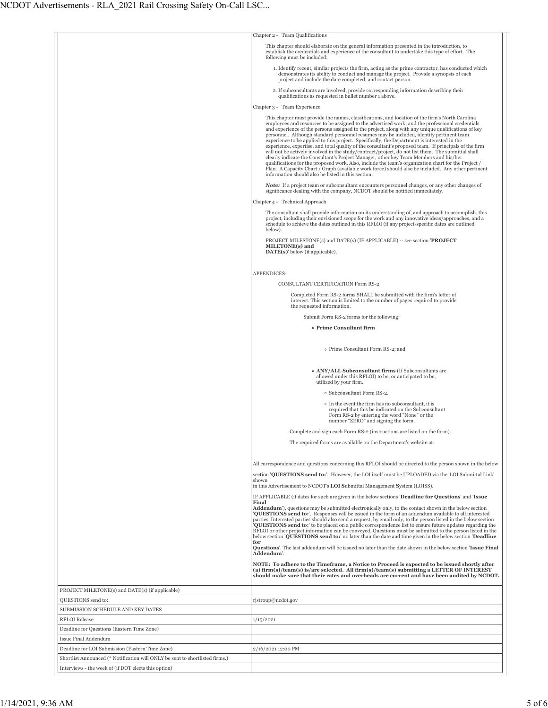|                                                                              | Chapter 2 - Team Qualifications                                                                                                                                                                                                                                                                                                                                                                                                                                                                                                                                                                                                                                                                                                                                                                                                                                                                                                                                                                                                                                               |
|------------------------------------------------------------------------------|-------------------------------------------------------------------------------------------------------------------------------------------------------------------------------------------------------------------------------------------------------------------------------------------------------------------------------------------------------------------------------------------------------------------------------------------------------------------------------------------------------------------------------------------------------------------------------------------------------------------------------------------------------------------------------------------------------------------------------------------------------------------------------------------------------------------------------------------------------------------------------------------------------------------------------------------------------------------------------------------------------------------------------------------------------------------------------|
|                                                                              | This chapter should elaborate on the general information presented in the introduction, to<br>establish the credentials and experience of the consultant to undertake this type of effort. The                                                                                                                                                                                                                                                                                                                                                                                                                                                                                                                                                                                                                                                                                                                                                                                                                                                                                |
|                                                                              | following must be included:<br>1. Identify recent, similar projects the firm, acting as the prime contractor, has conducted which<br>demonstrates its ability to conduct and manage the project. Provide a synopsis of each                                                                                                                                                                                                                                                                                                                                                                                                                                                                                                                                                                                                                                                                                                                                                                                                                                                   |
|                                                                              | project and include the date completed, and contact person.<br>2. If subconsultants are involved, provide corresponding information describing their                                                                                                                                                                                                                                                                                                                                                                                                                                                                                                                                                                                                                                                                                                                                                                                                                                                                                                                          |
|                                                                              | qualifications as requested in bullet number 1 above.                                                                                                                                                                                                                                                                                                                                                                                                                                                                                                                                                                                                                                                                                                                                                                                                                                                                                                                                                                                                                         |
|                                                                              | Chapter 3 - Team Experience                                                                                                                                                                                                                                                                                                                                                                                                                                                                                                                                                                                                                                                                                                                                                                                                                                                                                                                                                                                                                                                   |
|                                                                              | This chapter must provide the names, classifications, and location of the firm's North Carolina<br>employees and resources to be assigned to the advertised work; and the professional credentials<br>and experience of the persons assigned to the project, along with any unique qualifications of key<br>personnel. Although standard personnel resumes may be included, identify pertinent team<br>experience to be applied to this project. Specifically, the Department is interested in the<br>experience, expertise, and total quality of the consultant's proposed team. If principals of the firm<br>will not be actively involved in the study/contract/project, do not list them. The submittal shall<br>clearly indicate the Consultant's Project Manager, other key Team Members and his/her<br>qualifications for the proposed work. Also, include the team's organization chart for the Project /<br>Plan. A Capacity Chart / Graph (available work force) should also be included. Any other pertinent<br>information should also be listed in this section. |
|                                                                              | <b>Note:</b> If a project team or subconsultant encounters personnel changes, or any other changes of<br>significance dealing with the company, NCDOT should be notified immediately.                                                                                                                                                                                                                                                                                                                                                                                                                                                                                                                                                                                                                                                                                                                                                                                                                                                                                         |
|                                                                              | Chapter 4 - Technical Approach                                                                                                                                                                                                                                                                                                                                                                                                                                                                                                                                                                                                                                                                                                                                                                                                                                                                                                                                                                                                                                                |
|                                                                              | The consultant shall provide information on its understanding of, and approach to accomplish, this<br>project, including their envisioned scope for the work and any innovative ideas/approaches, and a<br>schedule to achieve the dates outlined in this RFLOI (if any project-specific dates are outlined<br>below).                                                                                                                                                                                                                                                                                                                                                                                                                                                                                                                                                                                                                                                                                                                                                        |
|                                                                              | PROJECT MILESTONE(s) and DATE(s) (IF APPLICABLE) -- see section 'PROJECT<br>MILETONE(s) and<br>DATE(s)' below (if applicable).                                                                                                                                                                                                                                                                                                                                                                                                                                                                                                                                                                                                                                                                                                                                                                                                                                                                                                                                                |
|                                                                              | APPENDICES-                                                                                                                                                                                                                                                                                                                                                                                                                                                                                                                                                                                                                                                                                                                                                                                                                                                                                                                                                                                                                                                                   |
|                                                                              | CONSULTANT CERTIFICATION Form RS-2                                                                                                                                                                                                                                                                                                                                                                                                                                                                                                                                                                                                                                                                                                                                                                                                                                                                                                                                                                                                                                            |
|                                                                              | Completed Form RS-2 forms SHALL be submitted with the firm's letter of                                                                                                                                                                                                                                                                                                                                                                                                                                                                                                                                                                                                                                                                                                                                                                                                                                                                                                                                                                                                        |
|                                                                              | interest. This section is limited to the number of pages required to provide<br>the requested information.                                                                                                                                                                                                                                                                                                                                                                                                                                                                                                                                                                                                                                                                                                                                                                                                                                                                                                                                                                    |
|                                                                              | Submit Form RS-2 forms for the following:                                                                                                                                                                                                                                                                                                                                                                                                                                                                                                                                                                                                                                                                                                                                                                                                                                                                                                                                                                                                                                     |
|                                                                              | • Prime Consultant firm                                                                                                                                                                                                                                                                                                                                                                                                                                                                                                                                                                                                                                                                                                                                                                                                                                                                                                                                                                                                                                                       |
|                                                                              | o Prime Consultant Form RS-2; and                                                                                                                                                                                                                                                                                                                                                                                                                                                                                                                                                                                                                                                                                                                                                                                                                                                                                                                                                                                                                                             |
|                                                                              | • ANY/ALL Subconsultant firms (If Subconsultants are<br>allowed under this RFLOI) to be, or anticipated to be,<br>utilized by your firm.                                                                                                                                                                                                                                                                                                                                                                                                                                                                                                                                                                                                                                                                                                                                                                                                                                                                                                                                      |
|                                                                              | o Subconsultant Form RS-2.                                                                                                                                                                                                                                                                                                                                                                                                                                                                                                                                                                                                                                                                                                                                                                                                                                                                                                                                                                                                                                                    |
|                                                                              | • In the event the firm has no subconsultant, it is<br>required that this be indicated on the Subconsultant<br>Form RS-2 by entering the word "None" or the<br>number "ZERO" and signing the form.                                                                                                                                                                                                                                                                                                                                                                                                                                                                                                                                                                                                                                                                                                                                                                                                                                                                            |
|                                                                              | Complete and sign each Form RS-2 (instructions are listed on the form).                                                                                                                                                                                                                                                                                                                                                                                                                                                                                                                                                                                                                                                                                                                                                                                                                                                                                                                                                                                                       |
|                                                                              | The required forms are available on the Department's website at:                                                                                                                                                                                                                                                                                                                                                                                                                                                                                                                                                                                                                                                                                                                                                                                                                                                                                                                                                                                                              |
|                                                                              |                                                                                                                                                                                                                                                                                                                                                                                                                                                                                                                                                                                                                                                                                                                                                                                                                                                                                                                                                                                                                                                                               |
|                                                                              | All correspondence and questions concerning this RFLOI should be directed to the person shown in the below                                                                                                                                                                                                                                                                                                                                                                                                                                                                                                                                                                                                                                                                                                                                                                                                                                                                                                                                                                    |
|                                                                              | section 'QUESTIONS send to:'. However, the LOI itself must be UPLOADED via the 'LOI Submittal Link'                                                                                                                                                                                                                                                                                                                                                                                                                                                                                                                                                                                                                                                                                                                                                                                                                                                                                                                                                                           |
|                                                                              | shown<br>in this Advertisement to NCDOT's LOI Submittal Management System (LOISS).                                                                                                                                                                                                                                                                                                                                                                                                                                                                                                                                                                                                                                                                                                                                                                                                                                                                                                                                                                                            |
|                                                                              | IF APPLICABLE (if dates for such are given in the below sections 'Deadline for Questions' and 'Issue                                                                                                                                                                                                                                                                                                                                                                                                                                                                                                                                                                                                                                                                                                                                                                                                                                                                                                                                                                          |
|                                                                              | Final<br>Addendum'), questions may be submitted electronically only, to the contact shown in the below section<br><b>QUESTIONS send to:'</b> . Responses will be issued in the form of an addendum available to all interested<br>parties. Interested parties should also send a request, by email only, to the person listed in the below section<br><b>QUESTIONS send to:</b> to be placed on a public correspondence list to ensure future updates regarding the<br>RFLOI or other project information can be conveyed. Questions must be submitted to the person listed in the<br>below section 'QUESTIONS send to:' no later than the date and time given in the below section 'Deadline<br>for                                                                                                                                                                                                                                                                                                                                                                          |
|                                                                              | Questions'. The last addendum will be issued no later than the date shown in the below section 'Issue Final<br>Addendum'.                                                                                                                                                                                                                                                                                                                                                                                                                                                                                                                                                                                                                                                                                                                                                                                                                                                                                                                                                     |
|                                                                              | NOTE: To adhere to the Timeframe, a Notice to Proceed is expected to be issued shortly after<br>(a) firm(s)/team(s) is/are selected. All firm(s)/team(s) submitting a LETTER OF INTEREST<br>should make sure that their rates and overheads are current and have been audited by NCDOT.                                                                                                                                                                                                                                                                                                                                                                                                                                                                                                                                                                                                                                                                                                                                                                                       |
| PROJECT MILETONE(s) and DATE(s) (if applicable)                              |                                                                                                                                                                                                                                                                                                                                                                                                                                                                                                                                                                                                                                                                                                                                                                                                                                                                                                                                                                                                                                                                               |
| QUESTIONS send to:                                                           | rjstroup@ncdot.gov                                                                                                                                                                                                                                                                                                                                                                                                                                                                                                                                                                                                                                                                                                                                                                                                                                                                                                                                                                                                                                                            |
| SUBMISSION SCHEDULE AND KEY DATES                                            |                                                                                                                                                                                                                                                                                                                                                                                                                                                                                                                                                                                                                                                                                                                                                                                                                                                                                                                                                                                                                                                                               |
| <b>RFLOI</b> Release                                                         | 1/15/2021                                                                                                                                                                                                                                                                                                                                                                                                                                                                                                                                                                                                                                                                                                                                                                                                                                                                                                                                                                                                                                                                     |
| Deadline for Questions (Eastern Time Zone)<br>Issue Final Addendum           |                                                                                                                                                                                                                                                                                                                                                                                                                                                                                                                                                                                                                                                                                                                                                                                                                                                                                                                                                                                                                                                                               |
| Deadline for LOI Submission (Eastern Time Zone)                              | 2/16/2021 12:00 PM                                                                                                                                                                                                                                                                                                                                                                                                                                                                                                                                                                                                                                                                                                                                                                                                                                                                                                                                                                                                                                                            |
| Shortlist Announced (* Notification will ONLY be sent to shortlisted firms.) |                                                                                                                                                                                                                                                                                                                                                                                                                                                                                                                                                                                                                                                                                                                                                                                                                                                                                                                                                                                                                                                                               |
| Interviews - the week of (if DOT elects this option)                         |                                                                                                                                                                                                                                                                                                                                                                                                                                                                                                                                                                                                                                                                                                                                                                                                                                                                                                                                                                                                                                                                               |